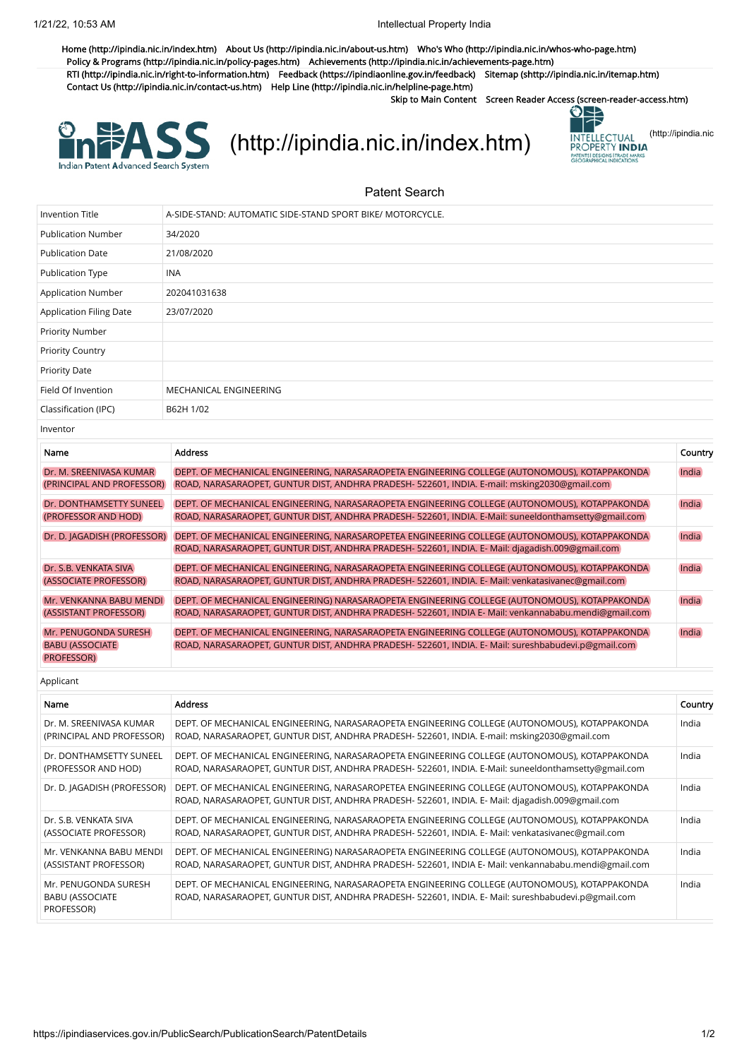[Home \(http://ipindia.nic.in/index.htm\)](http://ipindia.nic.in/index.htm) [About Us \(http://ipindia.nic.in/about-us.htm\)](http://ipindia.nic.in/about-us.htm) [Who's Who \(http://ipindia.nic.in/whos-who-page.htm\)](http://ipindia.nic.in/whos-who-page.htm) [Policy & Programs \(http://ipindia.nic.in/policy-pages.htm\)](http://ipindia.nic.in/policy-pages.htm) [Achievements \(http://ipindia.nic.in/achievements-page.htm\)](http://ipindia.nic.in/achievements-page.htm) [RTI \(http://ipindia.nic.in/right-to-information.htm\)](http://ipindia.nic.in/right-to-information.htm) [Feedback \(https://ipindiaonline.gov.in/feedback\)](https://ipindiaonline.gov.in/feedback) [Sitemap \(shttp://ipindia.nic.in/itemap.htm\)](shttp://ipindia.nic.in/itemap.htm) [Contact Us \(http://ipindia.nic.in/contact-us.htm\)](http://ipindia.nic.in/contact-us.htm) [Help Line \(http://ipindia.nic.in/helpline-page.htm\)](http://ipindia.nic.in/helpline-page.htm)

Skip to Main Content [Screen Reader Access \(screen-reader-access.htm\)](https://ipindiaservices.gov.in/PublicSearch/PublicationSearch/screen-reader-access.htm)



[\(http://ipindia.nic.in/index.htm\)](http://ipindia.nic.in/index.htm) **INTELLECTUAL [\(http://ipindia.nic](http://ipindia.nic.in/index.htm)** 



## Patent Search

| Invention Title                                               | A-SIDE-STAND: AUTOMATIC SIDE-STAND SPORT BIKE/ MOTORCYCLE.                                                                                                                                            |         |
|---------------------------------------------------------------|-------------------------------------------------------------------------------------------------------------------------------------------------------------------------------------------------------|---------|
| <b>Publication Number</b>                                     | 34/2020                                                                                                                                                                                               |         |
| <b>Publication Date</b>                                       | 21/08/2020                                                                                                                                                                                            |         |
| Publication Type                                              | <b>INA</b>                                                                                                                                                                                            |         |
| <b>Application Number</b>                                     | 202041031638                                                                                                                                                                                          |         |
| <b>Application Filing Date</b>                                | 23/07/2020                                                                                                                                                                                            |         |
| <b>Priority Number</b>                                        |                                                                                                                                                                                                       |         |
| <b>Priority Country</b>                                       |                                                                                                                                                                                                       |         |
| <b>Priority Date</b>                                          |                                                                                                                                                                                                       |         |
| Field Of Invention                                            | MECHANICAL ENGINEERING                                                                                                                                                                                |         |
| Classification (IPC)                                          | B62H 1/02                                                                                                                                                                                             |         |
| Inventor                                                      |                                                                                                                                                                                                       |         |
| Name                                                          | <b>Address</b>                                                                                                                                                                                        | Country |
| Dr. M. SREENIVASA KUMAR<br>(PRINCIPAL AND PROFESSOR)          | DEPT. OF MECHANICAL ENGINEERING, NARASARAOPETA ENGINEERING COLLEGE (AUTONOMOUS), KOTAPPAKONDA<br>ROAD, NARASARAOPET, GUNTUR DIST, ANDHRA PRADESH- 522601, INDIA. E-mail: msking2030@gmail.com         | India   |
| Dr. DONTHAMSETTY SUNEEL<br>(PROFESSOR AND HOD)                | DEPT. OF MECHANICAL ENGINEERING, NARASARAOPETA ENGINEERING COLLEGE (AUTONOMOUS), KOTAPPAKONDA<br>ROAD, NARASARAOPET, GUNTUR DIST, ANDHRA PRADESH-522601, INDIA. E-Mail: suneeldonthamsetty@gmail.com  | India   |
| Dr. D. JAGADISH (PROFESSOR)                                   | DEPT. OF MECHANICAL ENGINEERING, NARASAROPETEA ENGINEERING COLLEGE (AUTONOMOUS), KOTAPPAKONDA<br>ROAD, NARASARAOPET, GUNTUR DIST, ANDHRA PRADESH- 522601, INDIA. E- Mail: djagadish.009@gmail.com     | India   |
| Dr. S.B. VENKATA SIVA<br>(ASSOCIATE PROFESSOR)                | DEPT. OF MECHANICAL ENGINEERING, NARASARAOPETA ENGINEERING COLLEGE (AUTONOMOUS), KOTAPPAKONDA<br>ROAD, NARASARAOPET, GUNTUR DIST, ANDHRA PRADESH- 522601, INDIA. E- Mail: venkatasivanec@gmail.com    | India   |
| Mr. VENKANNA BABU MENDI<br>(ASSISTANT PROFESSOR)              | DEPT. OF MECHANICAL ENGINEERING) NARASARAOPETA ENGINEERING COLLEGE (AUTONOMOUS), KOTAPPAKONDA<br>ROAD, NARASARAOPET, GUNTUR DIST, ANDHRA PRADESH- 522601, INDIA E- Mail: venkannababu.mendi@gmail.com | India   |
| Mr. PENUGONDA SURESH<br><b>BABU (ASSOCIATE)</b><br>PROFESSOR) | DEPT. OF MECHANICAL ENGINEERING, NARASARAOPETA ENGINEERING COLLEGE (AUTONOMOUS), KOTAPPAKONDA<br>ROAD, NARASARAOPET, GUNTUR DIST, ANDHRA PRADESH- 522601, INDIA. E- Mail: sureshbabudevi.p@gmail.com  | India   |
| Applicant                                                     |                                                                                                                                                                                                       |         |
| Name                                                          | <b>Address</b>                                                                                                                                                                                        | Country |
| Dr. M. SREENIVASA KUMAR<br>(PRINCIPAL AND PROFESSOR)          | DEPT. OF MECHANICAL ENGINEERING, NARASARAOPETA ENGINEERING COLLEGE (AUTONOMOUS), KOTAPPAKONDA<br>ROAD, NARASARAOPET, GUNTUR DIST, ANDHRA PRADESH- 522601, INDIA. E-mail: msking2030@gmail.com         | India   |
| Dr. DONTHAMSETTY SUNEEL<br>(PROFESSOR AND HOD)                | DEPT. OF MECHANICAL ENGINEERING, NARASARAOPETA ENGINEERING COLLEGE (AUTONOMOUS), KOTAPPAKONDA<br>ROAD, NARASARAOPET, GUNTUR DIST, ANDHRA PRADESH- 522601, INDIA. E-Mail: suneeldonthamsetty@gmail.com | India   |
| Dr. D. JAGADISH (PROFESSOR)                                   | DEPT. OF MECHANICAL ENGINEERING, NARASAROPETEA ENGINEERING COLLEGE (AUTONOMOUS), KOTAPPAKONDA<br>ROAD, NARASARAOPET, GUNTUR DIST, ANDHRA PRADESH- 522601, INDIA. E- Mail: djagadish.009@gmail.com     | India   |
| Dr. S.B. VENKATA SIVA<br>(ASSOCIATE PROFESSOR)                | DEPT. OF MECHANICAL ENGINEERING, NARASARAOPETA ENGINEERING COLLEGE (AUTONOMOUS), KOTAPPAKONDA<br>ROAD, NARASARAOPET, GUNTUR DIST, ANDHRA PRADESH- 522601, INDIA. E- Mail: venkatasivanec@gmail.com    | India   |
| Mr. VENKANNA BABU MENDI<br>(ASSISTANT PROFESSOR)              | DEPT. OF MECHANICAL ENGINEERING) NARASARAOPETA ENGINEERING COLLEGE (AUTONOMOUS), KOTAPPAKONDA<br>ROAD, NARASARAOPET, GUNTUR DIST, ANDHRA PRADESH- 522601, INDIA E- Mail: venkannababu.mendi@gmail.com | India   |
| Mr. PENUGONDA SURESH<br><b>BABU (ASSOCIATE</b><br>PROFESSOR)  | DEPT. OF MECHANICAL ENGINEERING, NARASARAOPETA ENGINEERING COLLEGE (AUTONOMOUS), KOTAPPAKONDA<br>ROAD, NARASARAOPET, GUNTUR DIST, ANDHRA PRADESH- 522601, INDIA. E- Mail: sureshbabudevi.p@gmail.com  | India   |